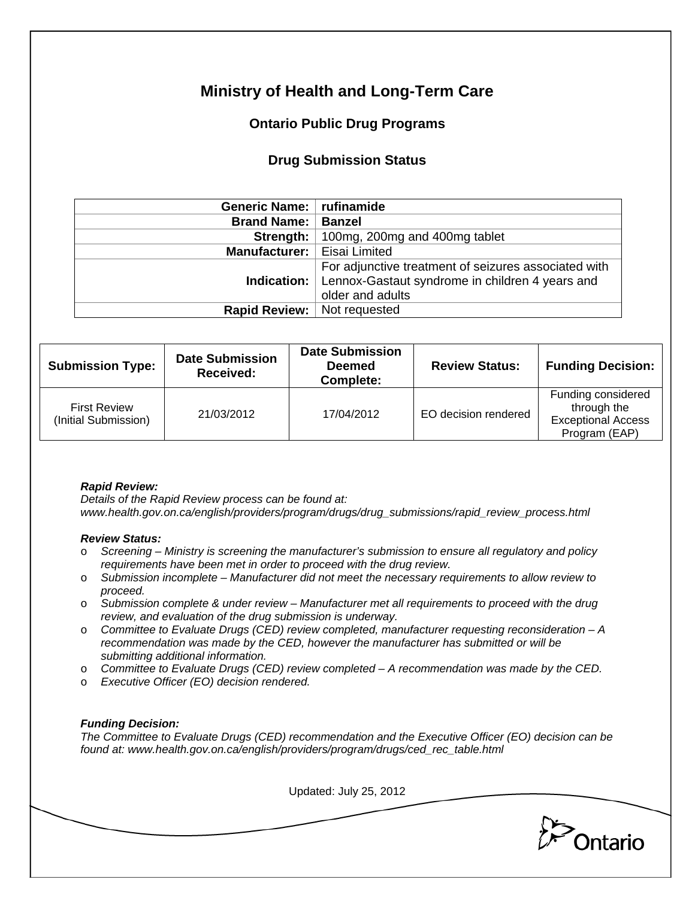# **Ministry of Health and Long-Term Care**

## **Ontario Public Drug Programs**

### **Drug Submission Status**

| Generic Name:   rufinamide                           |
|------------------------------------------------------|
| <b>Banzel</b>                                        |
| 100mg, 200mg and 400mg tablet                        |
| Eisai Limited                                        |
| For adjunctive treatment of seizures associated with |
| Lennox-Gastaut syndrome in children 4 years and      |
| older and adults                                     |
| <b>Rapid Review:</b> Not requested                   |
| Manufacturer:                                        |

| <b>Submission Type:</b>                     | <b>Date Submission</b><br>Received: | <b>Date Submission</b><br><b>Deemed</b><br>Complete: | <b>Review Status:</b> | <b>Funding Decision:</b>                                                        |
|---------------------------------------------|-------------------------------------|------------------------------------------------------|-----------------------|---------------------------------------------------------------------------------|
| <b>First Review</b><br>(Initial Submission) | 21/03/2012                          | 17/04/2012                                           | EO decision rendered  | Funding considered<br>through the<br><b>Exceptional Access</b><br>Program (EAP) |

#### *Rapid Review:*

*Details of the Rapid Review process can be found at: www.health.gov.on.ca/english/providers/program/drugs/drug\_submissions/rapid\_review\_process.html* 

#### *Review Status:*

- o *Screening Ministry is screening the manufacturer's submission to ensure all regulatory and policy requirements have been met in order to proceed with the drug review.*
- o *Submission incomplete Manufacturer did not meet the necessary requirements to allow review to proceed.*
- o *Submission complete & under review Manufacturer met all requirements to proceed with the drug review, and evaluation of the drug submission is underway.*
- o *Committee to Evaluate Drugs (CED) review completed, manufacturer requesting reconsideration A recommendation was made by the CED, however the manufacturer has submitted or will be submitting additional information.*
- o *Committee to Evaluate Drugs (CED) review completed A recommendation was made by the CED.*
- o *Executive Officer (EO) decision rendered.*

#### *Funding Decision:*

*The Committee to Evaluate Drugs (CED) recommendation and the Executive Officer (EO) decision can be found at: www.health.gov.on.ca/english/providers/program/drugs/ced\_rec\_table.html* 

Updated: July 25, 2012